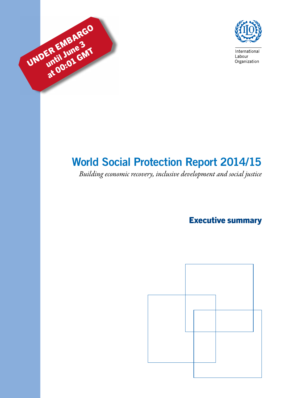



International Labour Organization

# World Social Protection Report 2014/15

*Building economic recovery, inclusive development and social justice*

Executive summary

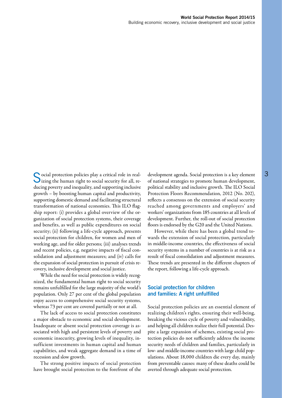Social protection policies play a critical role in real-<br>development agenda. Social protection is a key element<br>dizing the human right to social security for all, re-<br>of national strategies to promote human development, izing the human right to social security for all, reducing poverty and inequality, and supporting inclusive growth – by boosting human capital and productivity, supporting domestic demand and facilitating structural transformation of national economies. This ILO flagship report: (i) provides a global overview of the organization of social protection systems, their coverage and benefits, as well as public expenditures on social security; (ii) following a life-cycle approach, presents social protection for children, for women and men of working age, and for older persons; (iii) analyses trends and recent policies, e.g. negative impacts of fiscal consolidation and adjustment measures; and (iv) calls for the expansion of social protection in pursuit of crisis recovery, inclusive development and social justice.

While the need for social protection is widely recognized, the fundamental human right to social security remains unfulfilled for the large majority of the world's population. Only 27 per cent of the global population enjoy access to comprehensive social security systems, whereas 73 per cent are covered partially or not at all.

The lack of access to social protection constitutes a major obstacle to economic and social development. Inadequate or absent social protection coverage is associated with high and persistent levels of poverty and economic insecurity, growing levels of inequality, insufficient investments in human capital and human capabilities, and weak aggregate demand in a time of recession and slow growth.

The strong positive impacts of social protection have brought social protection to the forefront of the development agenda. Social protection is a key element political stability and inclusive growth. The ILO Social Protection Floors Recommendation, 2012 (No. 202), reflects a consensus on the extension of social security reached among governments and employers' and workers' organizations from 185 countries at all levels of development. Further, the roll-out of social protection floors is endorsed by the G20 and the United Nations.

However, while there has been a global trend towards the extension of social protection, particularly in middle-income countries, the effectiveness of social security systems in a number of countries is at risk as a result of fiscal consolidation and adjustment measures. These trends are presented in the different chapters of the report, following a life-cycle approach.

## Social protection for children and families: A right unfulfilled

Social protection policies are an essential element of realizing children's rights, ensuring their well-being, breaking the vicious cycle of poverty and vulnerability, and helping all children realize their full potential. Despite a large expansion of schemes, existing social protection policies do not sufficiently address the income security needs of children and families, particularly in low- and middle-income countries with large child populations. About 18,000 children die every day, mainly from preventable causes: many of these deaths could be averted through adequate social protection.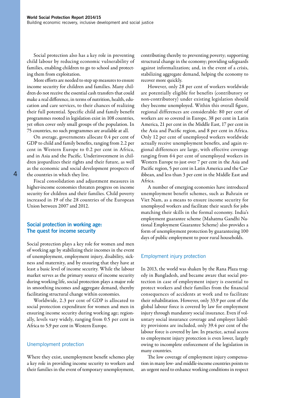Social protection also has a key role in preventing child labour by reducing economic vulnerability of families, enabling children to go to school and protecting them from exploitation.

More efforts are needed to step up measures to ensure income security for children and families. Many children do not receive the essential cash transfers that could make a real difference, in terms of nutrition, health, education and care services, to their chances of realizing their full potential. Specific child and family benefit programmes rooted in legislation exist in 108 countries, yet often cover only small groups of the population. In 75 countries, no such programmes are available at all.

On average, governments allocate 0.4 per cent of GDP to child and family benefits, ranging from 2.2 per cent in Western Europe to 0.2 per cent in Africa, and in Asia and the Pacific. Underinvestment in children jeopardizes their rights and their future, as well as the economic and social development prospects of the countries in which they live.

Fiscal consolidation and adjustment measures in higher-income economies threaten progress on income security for children and their families. Child poverty increased in 19 of the 28 countries of the European Union between 2007 and 2012.

## Social protection in working age: The quest for income security

Social protection plays a key role for women and men of working age by stabilizing their incomes in the event of unemployment, employment injury, disability, sickness and maternity, and by ensuring that they have at least a basic level of income security. While the labour market serves as the primary source of income security during working life, social protection plays a major role in smoothing incomes and aggregate demand, thereby facilitating structural change within economies.

Worldwide, 2.3 per cent of GDP is allocated to social protection expenditure for women and men in ensuring income security during working age; regionally, levels vary widely, ranging from 0.5 per cent in Africa to 5.9 per cent in Western Europe.

#### Unemployment protection

Where they exist, unemployment benefit schemes play a key role in providing income security to workers and their families in the event of temporary unemployment,

contributing thereby to preventing poverty; supporting structural change in the economy; providing safeguards against informalization; and, in the event of a crisis, stabilizing aggregate demand, helping the economy to recover more quickly.

However, only 28 per cent of workers worldwide are potentially eligible for benefits (contributory or non-contributory) under existing legislation should they become unemployed. Within this overall figure, regional differences are considerable: 80 per cent of workers are so covered in Europe, 38 per cent in Latin America, 21 per cent in the Middle East, 17 per cent in the Asia and Pacific region, and 8 per cent in Africa. Only 12 per cent of unemployed workers worldwide actually receive unemployment benefits, and again regional differences are large, with effective coverage ranging from 64 per cent of unemployed workers in Western Europe to just over 7 per cent in the Asia and Pacific region, 5 per cent in Latin America and the Caribbean, and less than 3 per cent in the Middle East and Africa.

A number of emerging economies have introduced unemployment benefit schemes, such as Bahrain or Viet Nam, as a means to ensure income security for unemployed workers and facilitate their search for jobs matching their skills in the formal economy. India's employment guarantee scheme (Mahatma Gandhi National Employment Guarantee Scheme) also provides a form of unemployment protection by guaranteeing 100 days of public employment to poor rural households.

#### Employment injury protection

In 2013, the world was shaken by the Rana Plaza tragedy in Bangladesh, and became aware that social protection in case of employment injury is essential to protect workers and their families from the financial consequences of accidents at work and to facilitate their rehabilitation. However, only 33.9 per cent of the global labour force is covered by law for employment injury through mandatory social insurance. Even if voluntary social insurance coverage and employer liability provisions are included, only 39.4 per cent of the labour force is covered by law. In practice, actual access to employment injury protection is even lower, largely owing to incomplete enforcement of the legislation in many countries.

The low coverage of employment injury compensation in many low- and middle-income countries points to an urgent need to enhance working conditions in respect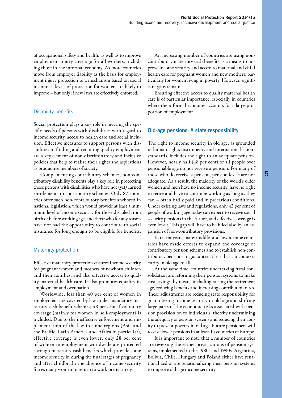of occupational safety and health, as well as to improve employment injury coverage for all workers, including those in the informal economy. As more countries move from employer liability as the basis for employment injury protection to a mechanism based on social insurance, levels of protection for workers are likely to improve – but only if new laws are effectively enforced.

## Disability benefits

Social protection plays a key role in meeting the specific needs of persons with disabilities with regard to income security, access to health care and social inclusion. Effective measures to support persons with disabilities in finding and retaining quality employment are a key element of non-discriminatory and inclusive policies that help to realize their rights and aspirations as productive members of society.

Complementing contributory schemes, non-contributory disability benefits play a key role in protecting those persons with disabilities who have not (yet) earned entitlements to contributory schemes. Only 87 countries offer such non-contributory benefits anchored in national legislation, which would provide at least a minimum level of income security for those disabled from birth or before working age, and those who for any reason have not had the opportunity to contribute to social insurance for long enough to be eligible for benefits.

## Maternity protection

Effective maternity protection ensures income security for pregnant women and mothers of newborn children and their families, and also effective access to quality maternal health care. It also promotes equality in employment and occupation.

Worldwide, less than 40 per cent of women in employment are covered by law under mandatory maternity cash benefit schemes; 48 per cent if voluntary coverage (mainly for women in self-employment) is included. Due to the ineffective enforcement and implementation of the law in some regions (Asia and the Pacific, Latin America and Africa in particular), effective coverage is even lower: only 28 per cent of women in employment worldwide are protected through maternity cash benefits which provide some income security in during the final stages of pregnancy and after childbirth; the absence of income security forces many women to return to work prematurely.

An increasing number of countries are using noncontributory maternity cash benefits as a means to improve income security and access to maternal and child health care for pregnant women and new mothers, particularly for women living in poverty. However, significant gaps remain.

Ensuring effective access to quality maternal health care is of particular importance, especially in countries where the informal economy accounts for a large proportion of employment.

## Old-age pensions: A state responsibility

The right to income security in old age, as grounded in human rights instruments and international labour standards, includes the right to an adequate pension. However, nearly half (48 per cent) of all people over pensionable age do not receive a pension. For many of those who do receive a pension, pension levels are not adequate. As a result, the majority of the world's older women and men have no income security, have no right to retire and have to continue working as long as they can – often badly paid and in precarious conditions. Under existing laws and regulations, only 42 per cent of people of working age today can expect to receive social security pensions in the future, and effective coverage is even lower. This gap will have to be filled also by an expansion of non-contributory provisions.

In recent years, many middle- and low-income countries have made efforts to expand the coverage of contributory pension schemes and to establish non-contributory pensions to guarantee at least basic income security in old age to all.

At the same time, countries undertaking fiscal consolidation are reforming their pension systems to make cost savings, by means including raising the retirement age, reducing benefits and increasing contribution rates. These adjustments are reducing state responsibility for guaranteeing income security in old age and shifting large parts of the economic risks associated with pension provision on to individuals, thereby undermining the adequacy of pension systems and reducing their ability to prevent poverty in old age. Future pensioners will receive lower pensions in at least 14 countries of Europe.

It is important to note that a number of countries are reversing the earlier privatizations of pension systems, implemented in the 1980s and 1990s. Argentina, Bolivia, Chile, Hungary and Poland either have renationalized or are renationalizing their pension systems to improve old-age income security.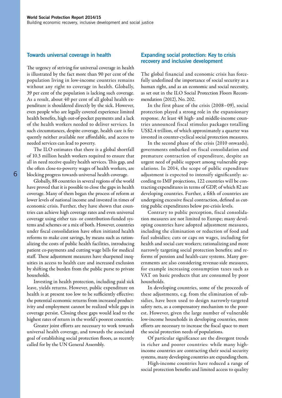#### Towards universal coverage in health

The urgency of striving for universal coverage in health is illustrated by the fact more than 90 per cent of the population living in low-income countries remains without any right to coverage in health. Globally, 39 per cent of the population is lacking such coverage. As a result, about 40 per cent of all global health expenditure is shouldered directly by the sick. However, even people who are legally covered experience limited health benefits, high out-of-pocket payments and a lack of the health workers needed to deliver services. In such circumstances, despite coverage, health care is frequently neither available nor affordable, and access to needed services can lead to poverty.

The ILO estimates that there is a global shortfall of 10.3 million health workers required to ensure that all in need receive quality health services. This gap, and the often close-to-poverty wages of health workers, are blocking progress towards universal health coverage.

Globally, 88 countries in several regions of the world have proved that it is possible to close the gaps in health coverage. Many of them began the process of reform at lower levels of national income and invested in times of economic crisis. Further, they have shown that countries can achieve high coverage rates and even universal coverage using either tax- or contribution-funded systems and schemes or a mix of both. However, countries under fiscal consolidation have often initiated health reforms to make cost savings, by means such as rationalizing the costs of public health facilities, introducing patient co-payments and cutting wage bills for medical staff. These adjustment measures have sharpened inequities in access to health care and increased exclusion by shifting the burden from the public purse to private households.

Investing in health protection, including paid sick leave, yields returns. However, public expenditure on health is at present too low to be sufficiently effective: the potential economic returns from increased productivity and employment cannot be realized while gaps in coverage persist. Closing these gaps would lead to the highest rates of return in the world's poorest countries.

Greater joint efforts are necessary to work towards universal health coverage, and towards the associated goal of establishing social protection floors, as recently called for by the UN General Assembly.

#### Expanding social protection: Key to crisis recovery and inclusive development

The global financial and economic crisis has forcefully underlined the importance of social security as a human right, and as an economic and social necessity, as set out in the ILO Social Protection Floors Recommendation (2012), No. 202.

In the first phase of the crisis (2008–09), social protection played a strong role in the expansionary response. At least 48 high- and middle-income countries announced fiscal stimulus packages totalling US\$2.4 trillion, of which approximately a quarter was invested in counter-cyclical social protection measures.

In the second phase of the crisis (2010 onwards), governments embarked on fiscal consolidation and premature contraction of expenditure, despite an urgent need of public support among vulnerable populations. In 2014, the scope of public expenditure adjustment is expected to intensify significantly: according to IMF projections, 122 countries will be contracting expenditures in terms of GDP, of which 82 are developing countries. Further, a fifth of countries are undergoing excessive fiscal contraction, defined as cutting public expenditures below pre-crisis levels.

Contrary to public perception, fiscal consolidation measures are not limited to Europe; many developing countries have adopted adjustment measures, including the elimination or reduction of food and fuel subsidies; cuts or caps on wages, including for health and social care workers; rationalizing and more narrowly targeting social protection benefits; and reforms of pension and health-care systems. Many governments are also considering revenue-side measures, for example increasing consumption taxes such as VAT on basic products that are consumed by poor households.

In developing countries, some of the proceeds of these adjustments, e.g. from the elimination of subsidies, have been used to design narrowly-targeted safety nets, as a compensatory mechanism to the poorest. However, given the large number of vulnerable low-income households in developing countries, more efforts are necessary to increase the fiscal space to meet the social protection needs of populations.

Of particular significance are the divergent trends in richer and poorer countries: while many highincome countries are contracting their social security systems, many developing countries are expanding them.

High-income countries have reduced a range of social protection benefits and limited access to quality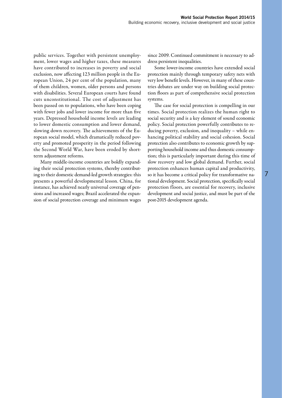public services. Together with persistent unemployment, lower wages and higher taxes, these measures have contributed to increases in poverty and social exclusion, now affecting 123 million people in the European Union, 24 per cent of the population, many of them children, women, older persons and persons with disabilities. Several European courts have found cuts unconstitutional. The cost of adjustment has been passed on to populations, who have been coping with fewer jobs and lower income for more than five years. Depressed household income levels are leading to lower domestic consumption and lower demand, slowing down recovery. The achievements of the European social model, which dramatically reduced poverty and promoted prosperity in the period following the Second World War, have been eroded by shortterm adjustment reforms.

Many middle-income countries are boldly expanding their social protection systems, thereby contributing to their domestic demand-led growth strategies: this presents a powerful developmental lesson. China, for instance, has achieved nearly universal coverage of pensions and increased wages; Brazil accelerated the expansion of social protection coverage and minimum wages since 2009. Continued commitment is necessary to address persistent inequalities.

Some lower-income countries have extended social protection mainly through temporary safety nets with very low benefit levels. However, in many of these countries debates are under way on building social protection floors as part of comprehensive social protection systems.

The case for social protection is compelling in our times. Social protection realizes the human right to social security and is a key element of sound economic policy. Social protection powerfully contributes to reducing poverty, exclusion, and inequality – while enhancing political stability and social cohesion. Social protection also contributes to economic growth by supporting household income and thus domestic consumption; this is particularly important during this time of slow recovery and low global demand. Further, social protection enhances human capital and productivity, so it has become a critical policy for transformative national development. Social protection, specifically social protection floors, are essential for recovery, inclusive development and social justice, and must be part of the post-2015 development agenda.

7